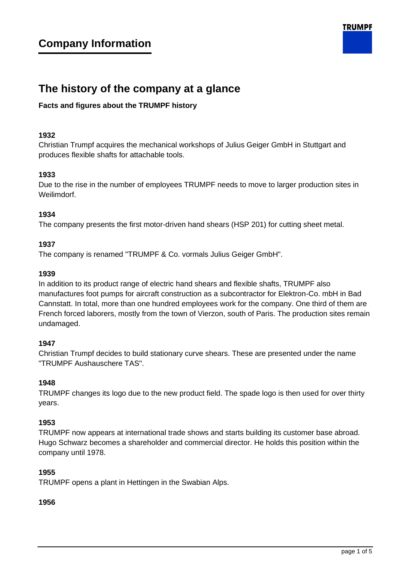

# **The history of the company at a glance**

# **Facts and figures about the TRUMPF history**

## **1932**

Christian Trumpf acquires the mechanical workshops of Julius Geiger GmbH in Stuttgart and produces flexible shafts for attachable tools.

# **1933**

Due to the rise in the number of employees TRUMPF needs to move to larger production sites in Weilimdorf.

# **1934**

The company presents the first motor-driven hand shears (HSP 201) for cutting sheet metal.

# **1937**

The company is renamed "TRUMPF & Co. vormals Julius Geiger GmbH".

## **1939**

In addition to its product range of electric hand shears and flexible shafts, TRUMPF also manufactures foot pumps for aircraft construction as a subcontractor for Elektron-Co. mbH in Bad Cannstatt. In total, more than one hundred employees work for the company. One third of them are French forced laborers, mostly from the town of Vierzon, south of Paris. The production sites remain undamaged.

## **1947**

Christian Trumpf decides to build stationary curve shears. These are presented under the name "TRUMPF Aushauschere TAS".

## **1948**

TRUMPF changes its logo due to the new product field. The spade logo is then used for over thirty years.

## **1953**

TRUMPF now appears at international trade shows and starts building its customer base abroad. Hugo Schwarz becomes a shareholder and commercial director. He holds this position within the company until 1978.

## **1955**

TRUMPF opens a plant in Hettingen in the Swabian Alps.

## **1956**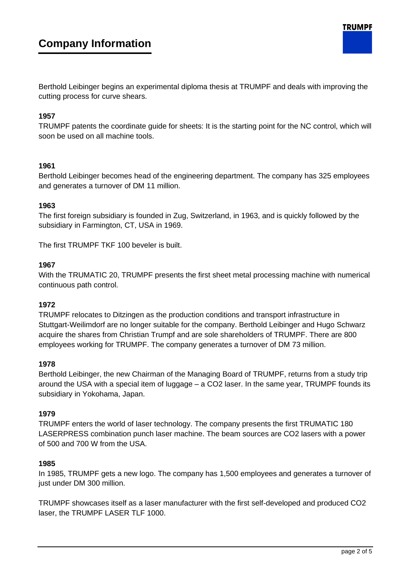Berthold Leibinger begins an experimental diploma thesis at TRUMPF and deals with improving the cutting process for curve shears.

## **1957**

TRUMPF patents the coordinate guide for sheets: It is the starting point for the NC control, which will soon be used on all machine tools.

#### **1961**

Berthold Leibinger becomes head of the engineering department. The company has 325 employees and generates a turnover of DM 11 million.

#### **1963**

The first foreign subsidiary is founded in Zug, Switzerland, in 1963, and is quickly followed by the subsidiary in Farmington, CT, USA in 1969.

The first TRUMPF TKF 100 beveler is built.

#### **1967**

With the TRUMATIC 20, TRUMPF presents the first sheet metal processing machine with numerical continuous path control.

#### **1972**

TRUMPF relocates to Ditzingen as the production conditions and transport infrastructure in Stuttgart-Weilimdorf are no longer suitable for the company. Berthold Leibinger and Hugo Schwarz acquire the shares from Christian Trumpf and are sole shareholders of TRUMPF. There are 800 employees working for TRUMPF. The company generates a turnover of DM 73 million.

#### **1978**

Berthold Leibinger, the new Chairman of the Managing Board of TRUMPF, returns from a study trip around the USA with a special item of luggage – a CO2 laser. In the same year, TRUMPF founds its subsidiary in Yokohama, Japan.

#### **1979**

TRUMPF enters the world of laser technology. The company presents the first TRUMATIC 180 LASERPRESS combination punch laser machine. The beam sources are CO2 lasers with a power of 500 and 700 W from the USA.

#### **1985**

In 1985, TRUMPF gets a new logo. The company has 1,500 employees and generates a turnover of just under DM 300 million.

TRUMPF showcases itself as a laser manufacturer with the first self-developed and produced CO2 laser, the TRUMPF LASER TLF 1000.

**TRUMPF**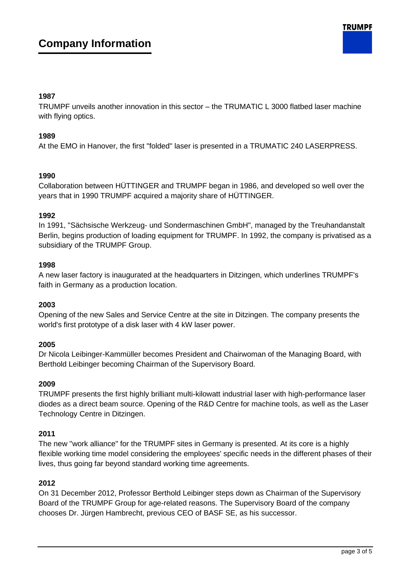# **1987**

TRUMPF unveils another innovation in this sector – the TRUMATIC L 3000 flatbed laser machine with flying optics.

# **1989**

At the EMO in Hanover, the first "folded" laser is presented in a TRUMATIC 240 LASERPRESS.

# **1990**

Collaboration between HÜTTINGER and TRUMPF began in 1986, and developed so well over the years that in 1990 TRUMPF acquired a majority share of HÜTTINGER.

# **1992**

In 1991, "Sächsische Werkzeug- und Sondermaschinen GmbH", managed by the Treuhandanstalt Berlin, begins production of loading equipment for TRUMPF. In 1992, the company is privatised as a subsidiary of the TRUMPF Group.

# **1998**

A new laser factory is inaugurated at the headquarters in Ditzingen, which underlines TRUMPF's faith in Germany as a production location.

## **2003**

Opening of the new Sales and Service Centre at the site in Ditzingen. The company presents the world's first prototype of a disk laser with 4 kW laser power.

# **2005**

Dr Nicola Leibinger-Kammüller becomes President and Chairwoman of the Managing Board, with Berthold Leibinger becoming Chairman of the Supervisory Board.

## **2009**

TRUMPF presents the first highly brilliant multi-kilowatt industrial laser with high-performance laser diodes as a direct beam source. Opening of the R&D Centre for machine tools, as well as the Laser Technology Centre in Ditzingen.

## **2011**

The new "work alliance" for the TRUMPF sites in Germany is presented. At its core is a highly flexible working time model considering the employees' specific needs in the different phases of their lives, thus going far beyond standard working time agreements.

## **2012**

On 31 December 2012, Professor Berthold Leibinger steps down as Chairman of the Supervisory Board of the TRUMPF Group for age-related reasons. The Supervisory Board of the company chooses Dr. Jürgen Hambrecht, previous CEO of BASF SE, as his successor.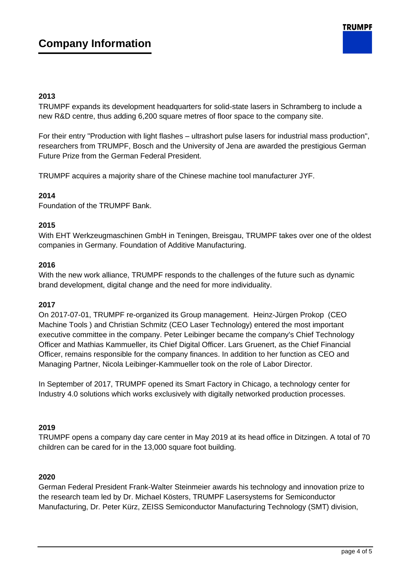# **2013**

TRUMPF expands its development headquarters for solid-state lasers in Schramberg to include a new R&D centre, thus adding 6,200 square metres of floor space to the company site.

For their entry "Production with light flashes – ultrashort pulse lasers for industrial mass production", researchers from TRUMPF, Bosch and the University of Jena are awarded the prestigious German Future Prize from the German Federal President.

TRUMPF acquires a majority share of the Chinese machine tool manufacturer JYF.

# **2014**

Foundation of the TRUMPF Bank.

## **2015**

With EHT Werkzeugmaschinen GmbH in Teningen, Breisgau, TRUMPF takes over one of the oldest companies in Germany. Foundation of Additive Manufacturing.

## **2016**

With the new work alliance, TRUMPF responds to the challenges of the future such as dynamic brand development, digital change and the need for more individuality.

## **2017**

On 2017-07-01, TRUMPF re-organized its Group management. Heinz-Jürgen Prokop (CEO Machine Tools ) and Christian Schmitz (CEO Laser Technology) entered the most important executive committee in the company. Peter Leibinger became the company's Chief Technology Officer and Mathias Kammueller, its Chief Digital Officer. Lars Gruenert, as the Chief Financial Officer, remains responsible for the company finances. In addition to her function as CEO and Managing Partner, Nicola Leibinger-Kammueller took on the role of Labor Director.

In September of 2017, TRUMPF opened its Smart Factory in Chicago, a technology center for Industry 4.0 solutions which works exclusively with digitally networked production processes.

## **2019**

TRUMPF opens a company day care center in May 2019 at its head office in Ditzingen. A total of 70 children can be cared for in the 13,000 square foot building.

## **2020**

German Federal President Frank-Walter Steinmeier awards his technology and innovation prize to the research team led by Dr. Michael Kösters, TRUMPF Lasersystems for Semiconductor Manufacturing, Dr. Peter Kürz, ZEISS Semiconductor Manufacturing Technology (SMT) division,